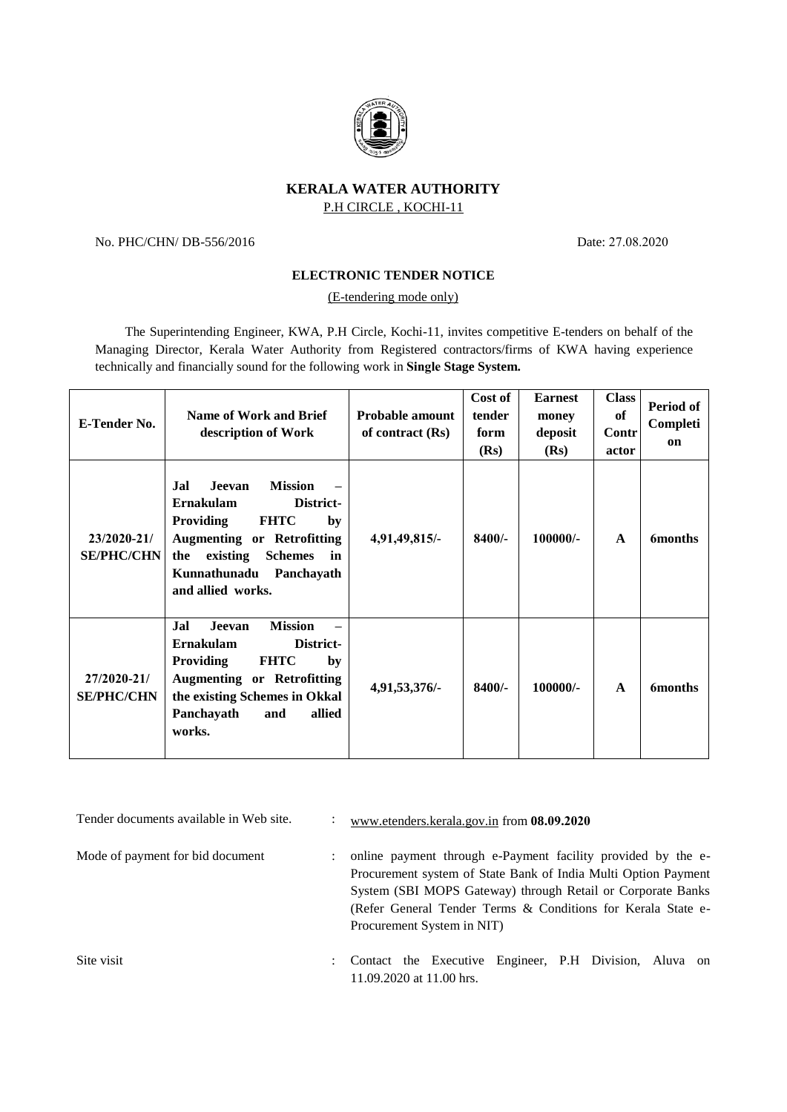

## **KERALA WATER AUTHORITY** P.H CIRCLE , KOCHI-11

No. PHC/CHN/ DB-556/2016 Date: 27.08.2020

## **ELECTRONIC TENDER NOTICE**

(E-tendering mode only)

The Superintending Engineer, KWA, P.H Circle, Kochi-11, invites competitive E-tenders on behalf of the Managing Director, Kerala Water Authority from Registered contractors/firms of KWA having experience technically and financially sound for the following work in **Single Stage System.**

| <b>E-Tender No.</b>              | <b>Name of Work and Brief</b><br>description of Work                                                                                                                                                                                  | <b>Probable amount</b><br>of contract $(Rs)$ | Cost of<br>tender<br>form<br>(Rs) | <b>Earnest</b><br>money<br>deposit<br>(Rs) | <b>Class</b><br>of<br><b>Contr</b><br>actor | Period of<br>Completi<br>on |
|----------------------------------|---------------------------------------------------------------------------------------------------------------------------------------------------------------------------------------------------------------------------------------|----------------------------------------------|-----------------------------------|--------------------------------------------|---------------------------------------------|-----------------------------|
| 23/2020-21/<br><b>SE/PHC/CHN</b> | <b>Mission</b><br>Jal<br>Jeevan<br>Ernakulam<br>District-<br><b>Providing</b><br><b>FHTC</b><br>by<br><b>Augmenting or Retrofitting</b><br>existing<br><b>Schemes</b><br>the<br>in<br>Kunnathunadu<br>Panchayath<br>and allied works. | 4,91,49,815/-                                | $8400/-$                          | $100000/-$                                 | $\mathbf{A}$                                | <b>6months</b>              |
| 27/2020-21/<br><b>SE/PHC/CHN</b> | <b>Mission</b><br>Jal<br>Jeevan<br><b>Ernakulam</b><br>District-<br><b>FHTC</b><br><b>Providing</b><br>by<br><b>Augmenting or Retrofitting</b><br>the existing Schemes in Okkal<br>Panchayath<br>allied<br>and<br>works.              | 4,91,53,376/-                                | 8400/-                            | 100000/-                                   | $\mathbf{A}$                                | <b>6months</b>              |

Tender documents available in Web site.  $\cdot \cdot \cdot \cdot \cdot \cdot \cdot \cdot \cdot$  [www.etenders.kerala.gov.in](http://www.etenders.kerala.gov.in/) from **08.09.2020** Mode of payment for bid document : online payment through e-Payment facility provided by the e-Procurement system of State Bank of India Multi Option Payment System (SBI MOPS Gateway) through Retail or Corporate Banks (Refer General Tender Terms & Conditions for Kerala State e-Procurement System in NIT) Site visit : Contact the Executive Engineer, P.H Division, Aluva on 11.09.2020 at 11.00 hrs.